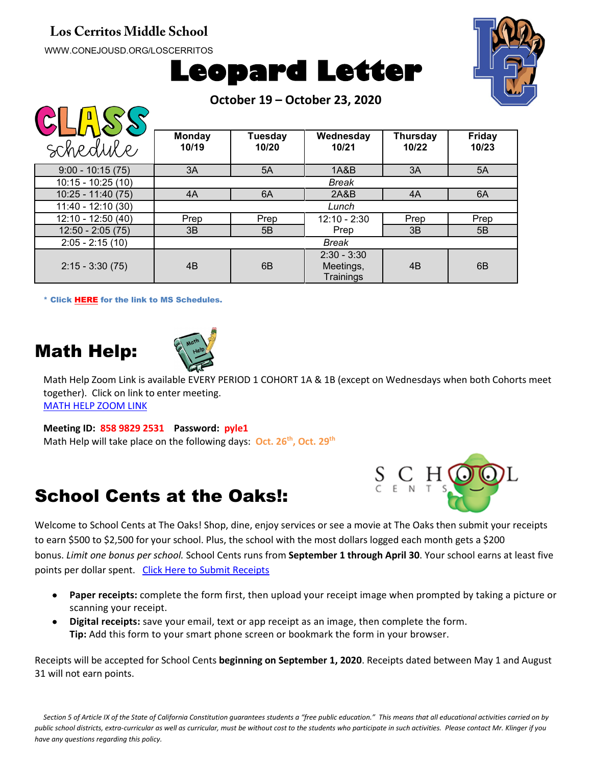#### **Los Cerritos Middle School**

WWW.CONEJOUSD.ORG/LOSCERRITOS

 $\bigcap \bigcap \bigcap \bigcap \bigcap \bigcap \bigcap$ 





**October 19 – October 23, 2020**

| schedule            | <b>Monday</b><br>10/19 | <b>Tuesday</b><br>10/20 | Wednesday<br>10/21                      | Thursday<br>10/22 | <b>Friday</b><br>10/23 |
|---------------------|------------------------|-------------------------|-----------------------------------------|-------------------|------------------------|
| $9:00 - 10:15(75)$  | 3A                     | 5A                      | 1A&B                                    | 3A                | 5A                     |
| $10:15 - 10:25(10)$ | Break                  |                         |                                         |                   |                        |
| $10:25 - 11:40(75)$ | 4A                     | 6A                      | 2A&B                                    | 4A                | 6A                     |
| $11:40 - 12:10(30)$ | Lunch                  |                         |                                         |                   |                        |
| 12:10 - 12:50 (40)  | Prep                   | Prep                    | $12:10 - 2:30$                          | Prep              | Prep                   |
| $12:50 - 2:05(75)$  | 3B                     | 5B                      | Prep                                    | 3B                | 5B                     |
| $2:05 - 2:15(10)$   | Break                  |                         |                                         |                   |                        |
| $2:15 - 3:30(75)$   | 4B                     | 6B                      | $2:30 - 3:30$<br>Meetings,<br>Trainings | 4B                | 6 <sub>B</sub>         |

\* Click [HERE](https://www.conejousd.org/Portals/41/2020-2021/Middle%20School%20Remote%20Calendar_fnl.pdf?ver=2020-08-25-121556-487) for the link to MS Schedules.

### Math Help:



Math Help Zoom Link is available EVERY PERIOD 1 COHORT 1A & 1B (except on Wednesdays when both Cohorts meet together). Click on link to enter meeting. [MATH HELP ZOOM LINK](https://conejousd-org.zoom.us/j/85898292531?pwd=dE1yRk5Ic0Y0SEo2SWQzbnRRWnBEZz09)

#### **Meeting ID: 858 9829 2531 Password: pyle1**

Math Help will take place on the following days: **Oct. 26th, Oct. 29th**

#### School Cents at the Oaks!:



Welcome to School Cents at The Oaks! Shop, dine, enjoy services or see a movie at The Oaks then submit your receipts to earn \$500 to \$2,500 for your school. Plus, the school with the most dollars logged each month gets a \$200 bonus. *Limit one bonus per school.* School Cents runs from **September 1 through April 30**. Your school earns at least five points per dollar spent. [Click Here to Submit](https://www.shoppingpartnership.com/theoaks/?fbclid=IwAR1Vob2j-SUF1mDhV5WG23bnoIDHeuVzJX1ROiTh-2CQCZJkJZO6bJgQtTc) Receipts

- **Paper receipts:** complete the form first, then upload your receipt image when prompted by taking a picture or scanning your receipt.
- **Digital receipts:** save your email, text or app receipt as an image, then complete the form. **Tip:** Add this form to your smart phone screen or bookmark the form in your browser.

Receipts will be accepted for School Cents **beginning on September 1, 2020**. Receipts dated between May 1 and August 31 will not earn points.

*Section 5 of Article IX of the State of California Constitution guarantees students a "free public education." This means that all educational activities carried on by public school districts, extra-curricular as well as curricular, must be without cost to the students who participate in such activities. Please contact Mr. Klinger if you have any questions regarding this policy.*